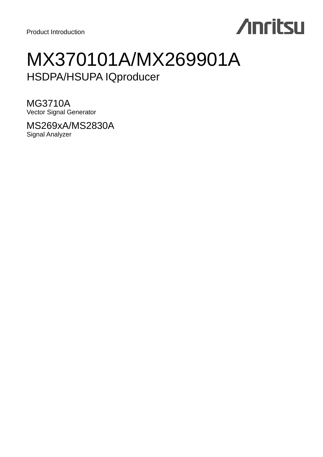# **Anritsu**

## MX370101A/MX269901A HSDPA/HSUPA IQproducer

MG3710A Vector Signal Generator

MS269xA/MS2830A Signal Analyzer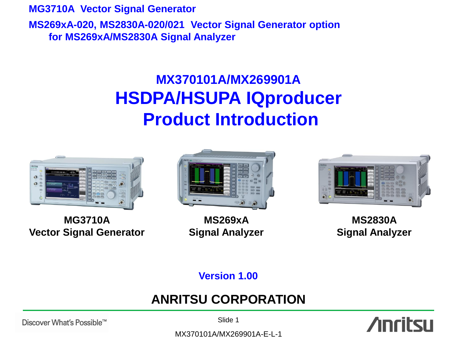**MG3710A Vector Signal Generator MS269xA-020, MS2830A-020/021 Vector Signal Generator option for MS269xA/MS2830A Signal Analyzer**

## **MX370101A/MX269901A HSDPA/HSUPA IQproducer Product Introduction**



**MG3710A Vector Signal Generator**



**MS269xA Signal Analyzer**



**MS2830A Signal Analyzer**

**Version 1.00**

## **ANRITSU CORPORATION**

Discover What's Possible™

Slide 1

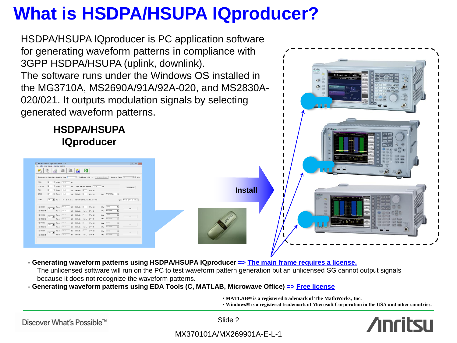## **What is HSDPA/HSUPA IQproducer?**

HSDPA/HSUPA IQproducer is PC application software for generating waveform patterns in compliance with 3GPP HSDPA/HSUPA (uplink, downlink). The software runs under the Windows OS installed in the MG3710A, MS2690A/91A/92A-020, and MS2830A-020/021. It outputs modulation signals by selecting generated waveform patterns.

# **HSDPA/HSUPA IQproducer** 西口 鹽 4 | ス **Install**

**- Generating waveform patterns using HSDPA/HSUPA IQproducer => The main frame requires a license.**

The unlicensed software will run on the PC to test waveform pattern generation but an unlicensed SG cannot output signals because it does not recognize the waveform patterns.

- **- Generating waveform patterns using EDA Tools (C, MATLAB, Microwave Office) => Free license**
	- **MATLAB® is a registered trademark of The MathWorks, Inc.**
	- **Windows® is a registered trademark of Microsoft Corporation in the USA and other countries.**

 $\ddot{\mathcal{O}}$ 

Discover What's Possible™

Slide 2

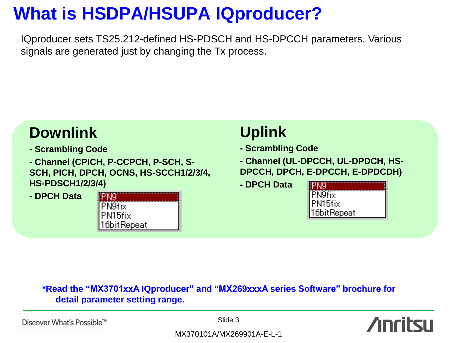## **What is HSDPA/HSUPA IQproducer?**

IQproducer sets TS25.212-defined HS-PDSCH and HS-DPCCH parameters. Various signals are generated just by changing the Tx process.



### **\*Read the "MX3701xxA IQproducer" and "MX269xxxA series Software" brochure for detail parameter setting range.**

Discover What's Possible™

Slide 3

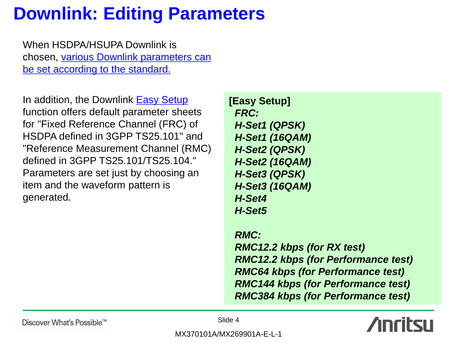## **Downlink: Editing Parameters**

When HSDPA/HSUPA Downlink is chosen, various Downlink parameters can be set according to the standard.

In addition, the Downlink **Easy Setup** function offers default parameter sheets for "Fixed Reference Channel (FRC) of HSDPA defined in 3GPP TS25.101" and "Reference Measurement Channel (RMC) defined in 3GPP TS25.101/TS25.104." Parameters are set just by choosing an item and the waveform pattern is generated.

**[Easy Setup]**  *FRC: H-Set1 (QPSK) H-Set1 (16QAM) H-Set2 (QPSK) H-Set2 (16QAM) H-Set3 (QPSK) H-Set3 (16QAM) H-Set4 H-Set5*

 *RMC: RMC12.2 kbps (for RX test) RMC12.2 kbps (for Performance test) RMC64 kbps (for Performance test) RMC144 kbps (for Performance test) RMC384 kbps (for Performance test)*



Discover What's Possible™

Slide 4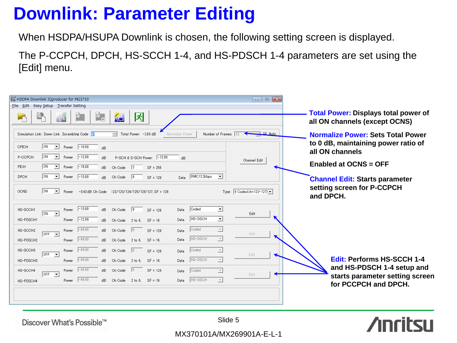## **Downlink: Parameter Editing**

When HSDPA/HSUPA Downlink is chosen, the following setting screen is displayed.

The P-CCPCH, DPCH, HS-SCCH 1-4, and HS-PDSCH 1-4 parameters are set using the [Edit] menu.

| HSDPA Downlink IQproducer for MG3710                                                                                                                                       |                                                                              |
|----------------------------------------------------------------------------------------------------------------------------------------------------------------------------|------------------------------------------------------------------------------|
| File Edit Easy Setup Transfer Setting                                                                                                                                      |                                                                              |
| W.<br>呙<br>W<br>AC.                                                                                                                                                        | <b>Total Power: Displays total power of</b><br>all ON channels (except OCNS) |
| $\Box$ $\Box$ Auto<br>Simulation Link: Down Link Scrambling Code<br>$\overline{-1}$ Total Power: -2.63 dB<br>Normalize Power<br>Number of Frames 12                        | <b>Normalize Power: Sets Total Power</b>                                     |
| ION.<br>CPICH<br>$-10.00$<br>$\overline{\phantom{a}}$<br>Power<br>dB                                                                                                       | to 0 dB, maintaining power ratio of<br>all ON channels                       |
| ON.<br>$-12.00$<br>P-CCPCH<br>$\overline{\phantom{a}}$<br>P-SCH & S-SCH Power: -12.00<br>Power<br>dB<br>dB<br>Channel Edit                                                 |                                                                              |
| ON.<br>$-15.00$<br>PICH<br>$\overline{ }$<br>$\sqrt{2}$<br>Power<br>$\mathsf{dB}$<br>Ch Code<br>$SF = 256$                                                                 | <b>Enabled at OCNS = OFF</b>                                                 |
| $\overline{ON}$<br>RMC12.2kbps<br>$-13.00$<br>DPCH<br>$\vert \cdot \vert$<br>$\sqrt{8}$<br>ᅬ<br>Power<br>Ch Code<br>dB.<br>$SF = 128$<br>Data                              | <b>Channel Edit: Starts parameter</b>                                        |
| ION.<br>Type $6$ Codes(ch=122-127) $\blacktriangledown$<br><b>OCNS</b><br>$\vert \cdot \vert$<br>$-3.43$ dB Ch Code 122/123/124/125/126/127, SF = 128<br>Power             | setting screen for P-CCPCH<br>and DPCH.                                      |
| $-13.00$<br>Coded<br>$\sqrt{9}$<br>ᅬ<br>dB<br>Ch Code<br>HS-SCCH1<br>Data<br>$SF = 128$<br>Power<br>$\overline{ON}$<br>Edit<br>$\overline{\phantom{a}}$                    |                                                                              |
| HS-DSCH<br>ᅬ<br>$-12.99$<br>HS-PDSCH1<br>Data<br>Power<br>dB.<br>Ch Code $2 \text{ to } 6$ , $SF = 16$                                                                     |                                                                              |
| Coded<br>$-40.00$<br>$\overline{ }$<br>$ 0\rangle$<br>Ch Code<br>$SF = 128$<br>HS-SCCH2<br>dB.<br>Power<br>Data<br>Edit<br>$OFF - \rightarrow$<br>$\overline{\phantom{a}}$ |                                                                              |
| HS-DSCH<br>$\vert \nabla \vert$<br>$-40.00$<br>Data<br>Ch Code 2 to 6.<br>$SF = 16$<br>HS-PDSCH2<br>dB<br>Power                                                            |                                                                              |
| $-40.00$<br>Coded<br>$\sqrt{0}$<br>$\overline{\phantom{a}}$<br>HS-SCCH3<br>Ch Code<br>dB<br>$SF = 128$<br>Power<br>Data<br>$OFF \rightarrow$<br>Edit<br>◥                  |                                                                              |
| HS-DSCH<br>$-40.00$<br>$\overline{\phantom{a}}$<br>$\mathsf{dB}$<br>Ch Code $2 \text{ to } 6$ , $SF = 16$<br>HS-PDSCH3<br>Data<br>Power                                    | <b>Edit: Performs HS-SCCH 1-4</b>                                            |
| $-40.00$<br>$\sqrt{0}$<br>$SF = 128$<br>dB.<br>Ch Code<br>HS-SCCH4<br>Coded<br>Power<br>$\overline{\phantom{a}}$<br>Data<br>$OFF - \nabla$<br>Edit                         | and HS-PDSCH 1-4 setup and<br>starts parameter setting screen                |
| $-40.00$<br>HS-DSCH<br>$\overline{ }$<br>dB.<br>Ch Code 2 to 6, SF = 16<br>Power<br>Data<br>HS-PDSCH4                                                                      | for PCCPCH and DPCH.                                                         |
|                                                                                                                                                                            |                                                                              |

**Anritsu** 

Discover What's Possible™

Slide 5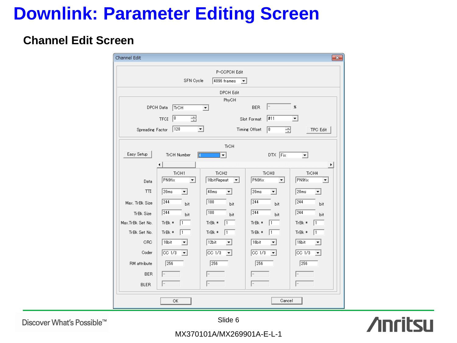## **Downlink: Parameter Editing Screen**

### **Channel Edit Screen**

| Channel Edit                                     |                                |                                        |                              | $\mathbf{x}$                                |  |  |  |
|--------------------------------------------------|--------------------------------|----------------------------------------|------------------------------|---------------------------------------------|--|--|--|
|                                                  |                                | P-CCPCH Edit                           |                              |                                             |  |  |  |
| SFN Cycle<br>4096 frames<br>$\blacktriangledown$ |                                |                                        |                              |                                             |  |  |  |
|                                                  | <b>DPCH Edit</b>               |                                        |                              |                                             |  |  |  |
|                                                  |                                | PhyCH                                  |                              |                                             |  |  |  |
|                                                  | DPCH Data<br>TrCH              | $\blacktriangledown$                   | l-<br><b>BER</b>             | %                                           |  |  |  |
|                                                  | $\sqrt{6}$<br>골<br><b>TFCI</b> |                                        | #11<br>Slot Format           | ▼                                           |  |  |  |
| Spreading Factor                                 | 128<br>$\blacktriangledown$    |                                        | Timing Offset<br>E<br> 0     | TPC Edit                                    |  |  |  |
|                                                  |                                | <b>TrCH</b>                            |                              |                                             |  |  |  |
| Easy Setup                                       | <b>TrCH Number</b>             | $\blacktriangledown$                   | DTX Fix                      | ▾                                           |  |  |  |
|                                                  | $\blacktriangleleft$           |                                        |                              | r                                           |  |  |  |
|                                                  | TrCH1                          | TrCH <sub>2</sub>                      | TrCH <sub>3</sub>            | TrCH4                                       |  |  |  |
| Data                                             | PN9fix<br>$\vert \cdot \vert$  | 16bitRepeat<br>▾╎                      | PN9fix<br>$\mathbf{r}$       | <b>PN9fix</b><br>$\overline{\phantom{a}}$   |  |  |  |
| $\Pi$                                            | 20ms<br>$\vert$                | 40ms<br>$\blacktriangledown$           | 20 <sub>ms</sub><br>$\vert$  | 20ms<br>$\blacktriangledown$                |  |  |  |
| Max. TrBk Size                                   | $\sqrt{244}$<br>bit            | $\sqrt{100}$<br>bit                    | 244<br>bit                   | $\sqrt{244}$<br>bit                         |  |  |  |
| TrBk Size                                        | $\sqrt{244}$<br>bit            | $\sqrt{100}$<br>bit                    | $\sqrt{244}$<br>bit          | $\sqrt{244}$<br>bit                         |  |  |  |
| Max.TrBk Set No.                                 | TrBk *<br>11                   | TrBk *<br>  1                          | TrBk *<br>11                 | TrBk *<br>$\vert$ 1                         |  |  |  |
| TrBk Set No.                                     | TrBk *<br>11                   | TrBk *<br>  1                          | TrBk *<br>  1                | TrBk *<br>11                                |  |  |  |
| CRC                                              | 16bit<br>$\vert$               | 12bit<br>$\blacktriangledown$          | 16bit<br>$\vert \cdot \vert$ | 16bit<br>۰                                  |  |  |  |
| Coder                                            | $\overline{CC}$ 1/3<br>$\vert$ | $CC$ $1/3$<br>$\overline{\phantom{a}}$ | CC 1/3<br>$\vert$            | $\overline{CC 1/3}$<br>$\blacktriangledown$ |  |  |  |
| RM attribute                                     | 256                            | 256                                    | $\sqrt{256}$                 | 256                                         |  |  |  |
| <b>BER</b>                                       |                                |                                        |                              |                                             |  |  |  |
| <b>BLER</b>                                      |                                |                                        |                              |                                             |  |  |  |
|                                                  | ОК                             |                                        | Cancel                       |                                             |  |  |  |

Discover What's Possible™

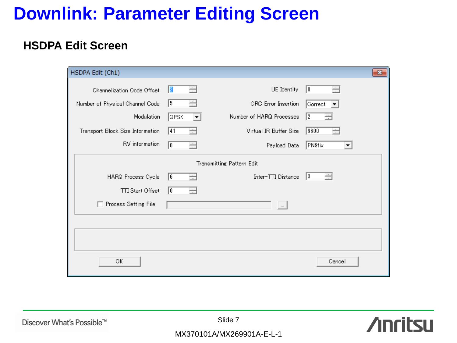## **Downlink: Parameter Editing Screen**

### **HSDPA Edit Screen**

| HSDPA Edit (Ch1)                 |            |                                                    | $\mathbf{z}$                        |
|----------------------------------|------------|----------------------------------------------------|-------------------------------------|
| Channelization Code Offset       | 2 <br>∃    | UE Identity                                        | $\sqrt{0}$<br>÷                     |
| Number of Physical Channel Code  | 5<br>÷     | <b>CRC</b> Error Insertion                         | Correct<br>$\vert \mathbf{v} \vert$ |
| Modulation                       | QPSK<br>▾╎ | Number of HARQ Processes                           | 2<br>÷                              |
| Transport Block Size Information | 41<br>÷    | Virtual IR Buffer Size                             | 9600<br>÷                           |
| RV information                   | 顶<br>클     | Payload Data                                       | PN9fix<br>▼                         |
|                                  |            | Transmitting Pattern Edit                          |                                     |
| HARQ Process Cycle               | 6<br>÷     | Inter-TTI Distance                                 | ÷<br>13                             |
| <b>TTI Start Offset</b>          | 顶<br>글     |                                                    |                                     |
| □ Process Setting File           |            | $\left(\begin{array}{c} \ldots \end{array}\right)$ |                                     |
|                                  |            |                                                    |                                     |
|                                  |            |                                                    |                                     |
|                                  |            |                                                    |                                     |
| ОK                               |            |                                                    | Cancel                              |



Discover What's Possible™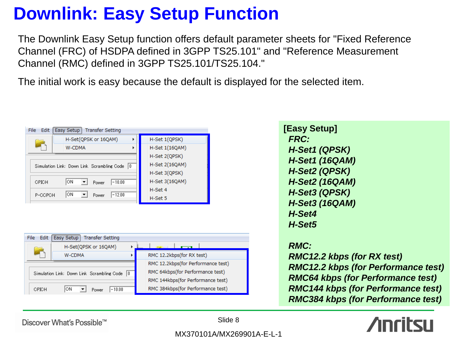## **Downlink: Easy Setup Function**

The Downlink Easy Setup function offers default parameter sheets for "Fixed Reference Channel (FRC) of HSDPA defined in 3GPP TS25.101" and "Reference Measurement Channel (RMC) defined in 3GPP TS25.101/TS25.104."

The initial work is easy because the default is displayed for the selected item.

| File<br>Edit | Easy Setup<br><b>Transfer Setting</b>            |                |
|--------------|--------------------------------------------------|----------------|
|              | H-Set(QPSK or 16QAM)                             | H-Set 1(QPSK)  |
|              | W-CDMA                                           | H-Set 1(16QAM) |
|              |                                                  | H-Set 2(QPSK)  |
|              | Simulation Link: Down Link Scrambling Code<br>10 | H-Set 2(16QAM) |
|              |                                                  | H-Set 3(QPSK)  |
| CPICH        | ΟN<br>$-10.00$<br>Power                          | H-Set 3(16QAM) |
|              | ΟN                                               | H-Set 4        |
| P-CCPCH      | $-12.00$<br>Power                                | H-Set 5        |

| File<br>Edit | Easy Setup<br><b>Transfer Setting</b>          |                                    |
|--------------|------------------------------------------------|------------------------------------|
|              | H-Set(QPSK or 16QAM)                           |                                    |
|              | <b>W-CDMA</b>                                  | RMC 12.2kbps(for RX test)          |
|              |                                                | RMC 12.2kbps(for Performance test) |
|              | Simulation Link: Down Link Scrambling Code   0 | RMC 64kbps(for Performance test)   |
|              |                                                | RMC 144kbps(for Performance test)  |
| CPICH        | ΟN<br>$-10.00$<br>Power                        | RMC 384kbps(for Performance test)  |

**[Easy Setup]**  *FRC: H-Set1 (QPSK) H-Set1 (16QAM) H-Set2 (QPSK) H-Set2 (16QAM) H-Set3 (QPSK) H-Set3 (16QAM) H-Set4 H-Set5 RMC:*

 *RMC12.2 kbps (for RX test) RMC12.2 kbps (for Performance test) RMC64 kbps (for Performance test) RMC144 kbps (for Performance test) RMC384 kbps (for Performance test)*

nritsu

Discover What's Possible™

Slide 8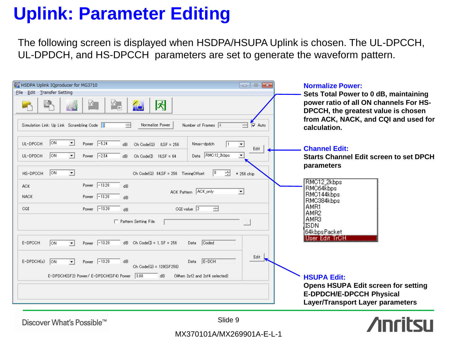## **Uplink: Parameter Editing**

The following screen is displayed when HSDPA/HSUPA Uplink is chosen. The UL-DPCCH, UL-DPDCH, and HS-DPCCH parameters are set to generate the waveform pattern.

| HSDPA Uplink IQproducer for MG3710<br>$\Box$ $\Box$ $\mathbf{x}$<br>File Edit Transfer Setting<br>冈<br>W.<br>W<br>Ajè,<br>Normalize Power<br>Simulation Link: Up Link Scrambling Code 0<br>Number of Frames 4<br>$\sqrt{v}$ Auto<br>곡<br>금                                                                                                                                                                                                                                                                                                                                                                                  | <b>Normalize Power:</b><br>Sets Total Power to 0 dB, maintaining<br>power ratio of all ON channels For HS-<br>DPCCH, the greatest value is chosen<br>from ACK, NACK, and CQI and used for<br>calculation. |
|-----------------------------------------------------------------------------------------------------------------------------------------------------------------------------------------------------------------------------------------------------------------------------------------------------------------------------------------------------------------------------------------------------------------------------------------------------------------------------------------------------------------------------------------------------------------------------------------------------------------------------|-----------------------------------------------------------------------------------------------------------------------------------------------------------------------------------------------------------|
| $\sqrt{on}$<br>ᅬ<br>Power $\boxed{-5.24}$<br>UL-DPCCH<br>Nmax-dpdch<br>Ch Code(Q)<br>$0. SF = 256$<br>$\overline{\phantom{a}}$<br>dB<br>Edit<br>RMC12_2kbps<br>$\overline{ON}$<br>$\blacktriangledown$<br>Power $\boxed{-2.54}$<br>$\vert \cdot \vert$<br>UL-DPDCH<br>Ch Code $(D \t 16,SF = 64$<br>Data<br>dB.<br>$\sqrt{on}$<br>⊡<br>글<br>HS-DPCCH<br>10.<br>Ch Code(Q) 64.SF = 256 TimingOffset<br>* 256 chip<br>$-13.20$<br>Power<br>dB<br>ACK.<br>ACK Pattern ACK_only<br>회<br>$-13.20$<br><b>NACK</b><br>Power<br>dB.<br>$-13.20$<br>CQI value $\sqrt{2}$<br>$\equiv$<br>CQI<br>Power<br>dB<br>□ Pattern Setting File | <b>Channel Edit:</b><br><b>Starts Channel Edit screen to set DPCH</b><br>parameters<br>RMC12_2kbps<br>RMC64kbps<br>RMC144kbps<br>RMC384kbps<br>AMR1<br>AMR2<br>AMR3<br>ISDN                               |
| Power $\boxed{-13.20}$<br>E-DPCCH<br>$dB$ Ch Code(I) = 1, SF = 256<br>Coded<br><b>ON</b><br>$\vert$<br>Data<br>Edit<br>$E-DOH$<br>$E-DPDCH(s)$<br>$\sqrt{on}$<br>Power $\boxed{-13.20}$<br>dB<br>Data<br>$\vert \cdot \vert$<br>Ch Code(Q) = 128(SF256)<br>E-DPDCH(SF2) Power/E-DPDCH(SF4) Power 3.00<br>dB<br>(When 2sf2 and 2sf4 selected)                                                                                                                                                                                                                                                                                | 64kbpsPacket<br>User Edit TrCH<br><b>HSUPA Edit:</b><br><b>Opens HSUPA Edit screen for setting</b><br><b>E-DPDCH/E-DPCCH Physical</b><br><b>Layer/Transport Layer parameters</b>                          |
| Slide 9<br>Discover What's Possible™<br>MX370101A/MX269901A-E-L-1                                                                                                                                                                                                                                                                                                                                                                                                                                                                                                                                                           |                                                                                                                                                                                                           |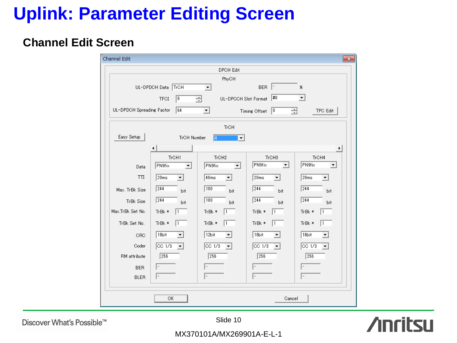## **Uplink: Parameter Editing Screen**

### **Channel Edit Screen**

| Channel Edit              |                       |                                            |                                    | $\mathbf{x}$                           |  |  |  |
|---------------------------|-----------------------|--------------------------------------------|------------------------------------|----------------------------------------|--|--|--|
|                           |                       | <b>DPCH Edit</b>                           |                                    |                                        |  |  |  |
|                           | PhyCH                 |                                            |                                    |                                        |  |  |  |
|                           | TrCH<br>UL-DPDCH Data | $\blacktriangledown$                       | <b>BER</b>                         | $\pmb{ \times}$                        |  |  |  |
|                           | <b>TFCI</b><br>0      | 글<br>UL-DPCCH Slot Format                  | #0                                 | $\blacktriangledown$                   |  |  |  |
| UL-DPDCH Spreading Factor | 64                    | $\blacktriangledown$                       | $\sqrt{0}$<br>골<br>Timing Offset   | <b>TPC Edit</b>                        |  |  |  |
|                           |                       | <b>TrCH</b>                                |                                    |                                        |  |  |  |
| Easy Setup                | TrCH Number           | $\overline{4}$<br>$\overline{\phantom{a}}$ |                                    |                                        |  |  |  |
|                           |                       |                                            |                                    | ▸                                      |  |  |  |
|                           | TrCH1                 | TrCH <sub>2</sub>                          | TrCH <sub>3</sub>                  | TrCH4                                  |  |  |  |
| Data                      | PN9fix<br>۰           | PN9fix<br>▼                                | PN9fix<br>$\overline{\phantom{a}}$ | PN9fix<br>▼                            |  |  |  |
| $\Pi$                     | 20ms<br>▾             | 40ms<br>$\mathbf{v}$                       | 20 <sub>ms</sub><br>▾              | 20 <sub>ms</sub><br>$\vert$            |  |  |  |
| Max. TrBk Size            | 244<br>bit            | 100<br>bit                                 | 244<br>bit                         | 244<br>bit                             |  |  |  |
| TrBk Size                 | 244<br><b>bit</b>     | $\sqrt{100}$<br>bit                        | $\sqrt{244}$<br>bit                | 244<br><b>bit</b>                      |  |  |  |
| Max.TrBk Set No.          | TrBk *<br>l 1         | TrBk *<br>11                               | TrBk *<br>1                        | TrBk *<br>1                            |  |  |  |
| TrBk Set No.              | TrBk *<br>11          | TrBk *<br>l1                               | TrBk *<br>  1                      | TrBk *<br>$\overline{1}$               |  |  |  |
| CRC                       | 16bit                 | 12bit                                      | 16bit<br>▼                         | 16bit                                  |  |  |  |
| Coder                     | $CC$ $1/3$<br>▾       | $CC$ $1/3$<br>▾                            | $\overline{CC}$ 1/3<br>▾           | $CC$ $1/3$<br>$\overline{\phantom{a}}$ |  |  |  |
| RM attribute              | 256                   | $\sqrt{256}$                               | 256                                | $\sqrt{256}$                           |  |  |  |
| <b>BER</b>                |                       |                                            |                                    |                                        |  |  |  |
| <b>BLER</b>               |                       |                                            |                                    |                                        |  |  |  |
|                           |                       |                                            |                                    |                                        |  |  |  |
|                           | ОК                    |                                            | Cancel                             |                                        |  |  |  |

Discover What's Possible™

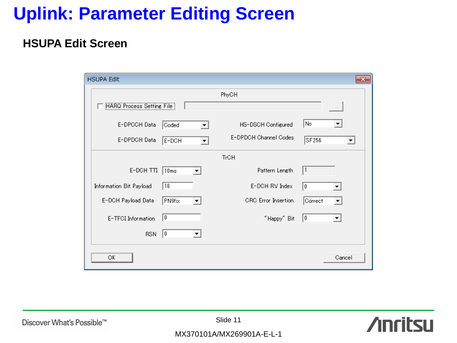## **Uplink: Parameter Editing Screen**

### **HSUPA Edit Screen**

| <b>HSUPA Edit</b>         |             |                      |                            |         | $\mathbf{x}$ |
|---------------------------|-------------|----------------------|----------------------------|---------|--------------|
|                           |             |                      | PhyCH                      |         |              |
| HARQ Process Setting File |             |                      |                            |         |              |
| E-DPCCH Data              | Coded       |                      | HS-DSCH Configured         | No      |              |
| E-DPDCH Data              | E-DCH       | $\blacktriangledown$ | E-DPDCH Channel Codes      | SF256   | ▼            |
|                           |             |                      | <b>TrCH</b>                |         |              |
| E-DCH TTI                 | 10ms        |                      | Pattern Length             | 1       |              |
| Information Bit Payload   | $\sqrt{18}$ |                      | E-DCH RV Index             | 10.     |              |
| E-DCH Payload Data        | PN9fix      |                      | <b>CRC</b> Error Insertion | Correct |              |
| E-TFCI Information        | 10          |                      | "Happy" Bit                | 10      |              |
| <b>RSN</b>                | 10          |                      |                            |         |              |
| ОK                        |             |                      |                            |         | Cancel       |

**Anritsu** 

Discover What's Possible™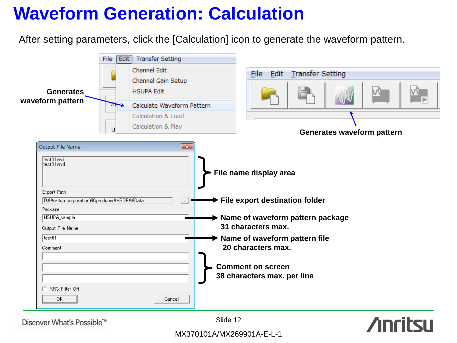## **Waveform Generation: Calculation**

After setting parameters, click the [Calculation] icon to generate the waveform pattern.



Discover What's Possible™

Slide 12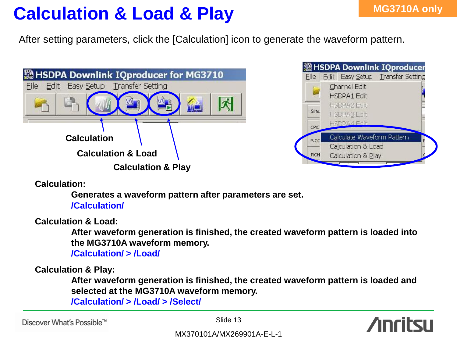## **Calculation & Load & Play**

After setting parameters, click the [Calculation] icon to generate the waveform pattern.





**Calculation:**

**Generates a waveform pattern after parameters are set. /Calculation/**

**Calculation & Load:**

**After waveform generation is finished, the created waveform pattern is loaded into the MG3710A waveform memory.**

**/Calculation/ > /Load/**

**Calculation & Play:**

**After waveform generation is finished, the created waveform pattern is loaded and selected at the MG3710A waveform memory.**

**/Calculation/ > /Load/ > /Select/**

Discover What's Possible™

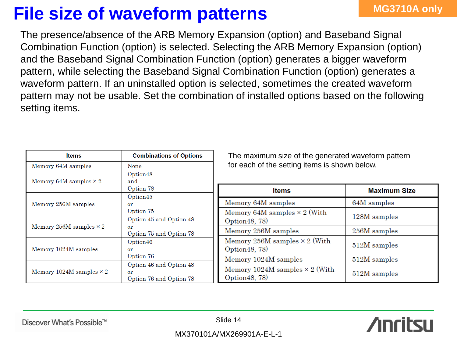## **File size of waveform patterns** MG3710A only

The presence/absence of the ARB Memory Expansion (option) and Baseband Signal Combination Function (option) is selected. Selecting the ARB Memory Expansion (option) and the Baseband Signal Combination Function (option) generates a bigger waveform pattern, while selecting the Baseband Signal Combination Function (option) generates a waveform pattern. If an uninstalled option is selected, sometimes the created waveform pattern may not be usable. Set the combination of installed options based on the following setting items.

| <b>Items</b>                    | <b>Combinations of Options</b> | Tł              |
|---------------------------------|--------------------------------|-----------------|
| Memory 64M samples              | None                           | fo              |
|                                 | Option48                       |                 |
| Memory 64M samples $\times 2$   | and                            |                 |
|                                 | Option 78                      |                 |
|                                 | Option45                       |                 |
| Memory 256M samples             | or                             | Me              |
|                                 | Option 75                      | Me              |
|                                 | Option 45 and Option 48        | Op <sub>1</sub> |
| Memory 256M samples $\times$ 2  | or                             |                 |
|                                 | Option 75 and Option 78        | Me              |
|                                 | Option46                       | Me              |
| Memory 1024M samples            | or                             | Opi             |
|                                 | Option 76                      | Me              |
|                                 | Option 46 and Option 48        |                 |
| Memory 1024M samples $\times 2$ | or                             | Me              |
|                                 | Option 76 and Option 78        | Opi             |

ne maximum size of the generated waveform pattern r each of the setting items is shown below.

| <b>Items</b>                                            | <b>Maximum Size</b> |
|---------------------------------------------------------|---------------------|
| Memory 64M samples                                      | 64M samples         |
| Memory 64M samples $\times$ 2 (With<br>Option 48, 78)   | 128M samples        |
| Memory 256M samples                                     | 256M samples        |
| Memory 256M samples $\times$ 2 (With<br>Option 48, 78)  | 512M samples        |
| Memory 1024M samples                                    | 512M samples        |
| Memory 1024M samples $\times$ 2 (With<br>Option 48, 78) | 512M samples        |

Discover What's Possible™

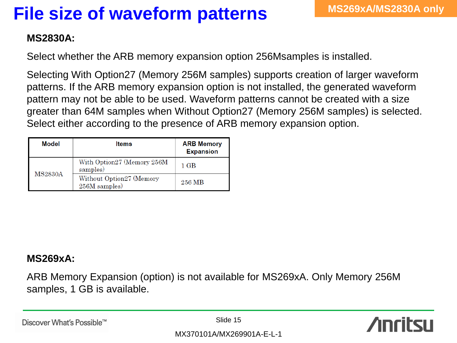## **File size of waveform patterns**

### **MS2830A:**

Select whether the ARB memory expansion option 256Msamples is installed.

Selecting With Option27 (Memory 256M samples) supports creation of larger waveform patterns. If the ARB memory expansion option is not installed, the generated waveform pattern may not be able to be used. Waveform patterns cannot be created with a size greater than 64M samples when Without Option27 (Memory 256M samples) is selected. Select either according to the presence of ARB memory expansion option.

| Model          | <b>Items</b>                              | <b>ARB Memory</b><br><b>Expansion</b> |
|----------------|-------------------------------------------|---------------------------------------|
| <b>MS2830A</b> | With Option27 (Memory 256M<br>samples)    | 1 GB                                  |
|                | Without Option27 (Memory<br>256M samples) | 256 MB                                |

### **MS269xA:**

ARB Memory Expansion (option) is not available for MS269xA. Only Memory 256M samples, 1 GB is available.

Discover What's Possible™

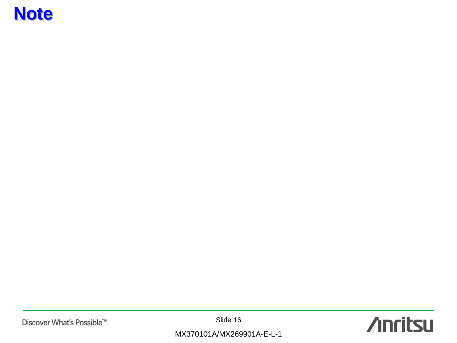## **Note**

Discover What's Possible™

Slide 16